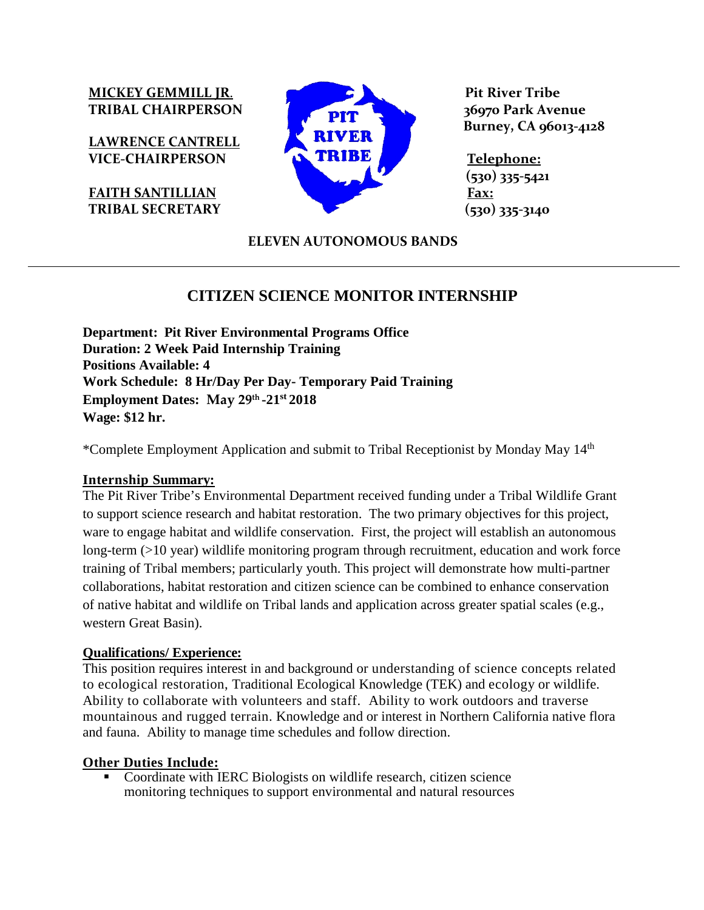**LAWRENCE CANTRELL**



 **Burney, CA 96013-4128**

 **(530) 335-5421**

# **ELEVEN AUTONOMOUS BANDS**

# **CITIZEN SCIENCE MONITOR INTERNSHIP**

**Department: Pit River Environmental Programs Office Duration: 2 Week Paid Internship Training Positions Available: 4 Work Schedule: 8 Hr/Day Per Day- Temporary Paid Training Employment Dates: May 29th -21st 2018 Wage: \$12 hr.**

\*Complete Employment Application and submit to Tribal Receptionist by Monday May 14th

### **Internship Summary:**

The Pit River Tribe's Environmental Department received funding under a Tribal Wildlife Grant to support science research and habitat restoration. The two primary objectives for this project, ware to engage habitat and wildlife conservation. First, the project will establish an autonomous long-term (>10 year) wildlife monitoring program through recruitment, education and work force training of Tribal members; particularly youth. This project will demonstrate how multi-partner collaborations, habitat restoration and citizen science can be combined to enhance conservation of native habitat and wildlife on Tribal lands and application across greater spatial scales (e.g., western Great Basin).

### **Qualifications/ Experience:**

This position requires interest in and background or understanding of science concepts related to ecological restoration, Traditional Ecological Knowledge (TEK) and ecology or wildlife. Ability to collaborate with volunteers and staff. Ability to work outdoors and traverse mountainous and rugged terrain. Knowledge and or interest in Northern California native flora and fauna. Ability to manage time schedules and follow direction.

### **Other Duties Include:**

• Coordinate with IERC Biologists on wildlife research, citizen science monitoring techniques to support environmental and natural resources